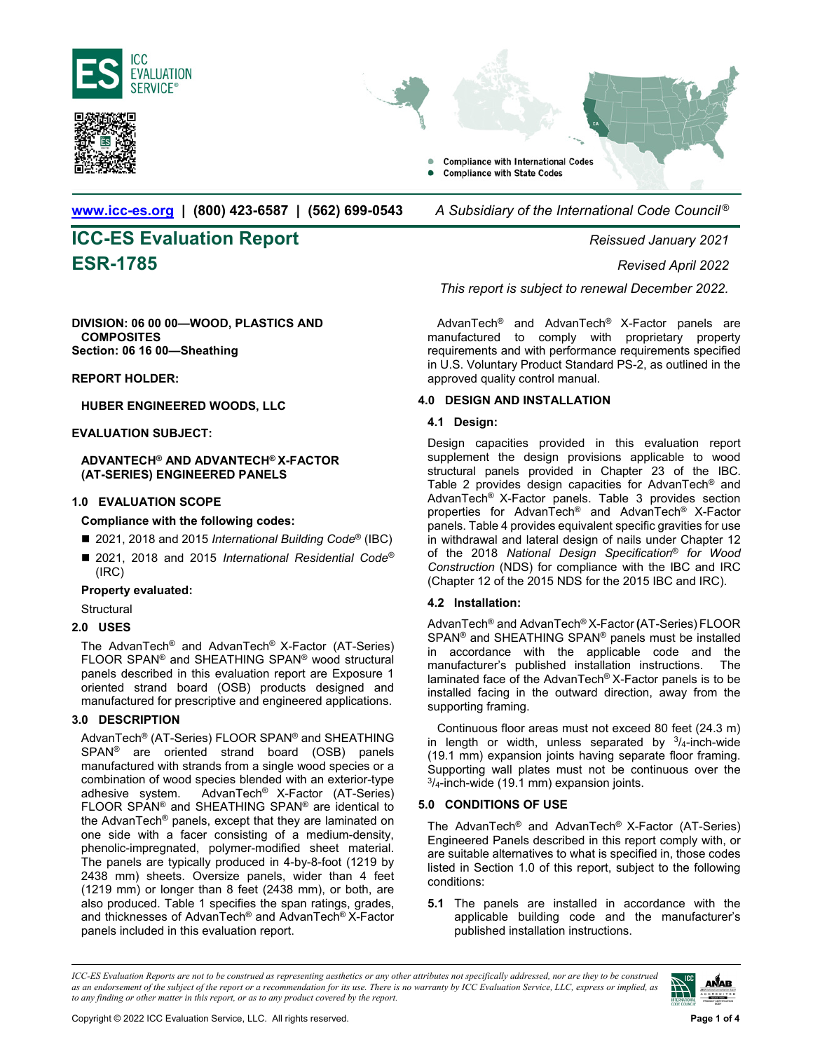





**www.icc-es.org | (800) 423-6587 | (562) 699-0543** *A Subsidiary of the International Code Council ®* 

# **ICC-ES Evaluation Report** *Reissued January 2021* **ESR-1785** *Revised April 2022*

**DIVISION: 06 00 00—WOOD, PLASTICS AND COMPOSITES Section: 06 16 00—Sheathing** 

**REPORT HOLDER:** 

**HUBER ENGINEERED WOODS, LLC** 

### **EVALUATION SUBJECT:**

**ADVANTECH® AND ADVANTECH® X-FACTOR (AT-SERIES) ENGINEERED PANELS** 

### **1.0 EVALUATION SCOPE**

- **Compliance with the following codes:**
- 2021, 2018 and 2015 *International Building Code<sup>®</sup>* (IBC)
- 2021, 2018 and 2015 *International Residential Code<sup>®</sup>* (IRC)

#### **Property evaluated:**

**Structural** 

### **2.0 USES**

The AdvanTech® and AdvanTech® X-Factor (AT-Series) FLOOR SPAN® and SHEATHING SPAN® wood structural panels described in this evaluation report are Exposure 1 oriented strand board (OSB) products designed and manufactured for prescriptive and engineered applications.

### **3.0 DESCRIPTION**

AdvanTech® (AT-Series) FLOOR SPAN® and SHEATHING SPAN® are oriented strand board (OSB) panels manufactured with strands from a single wood species or a combination of wood species blended with an exterior-type adhesive system. AdvanTech® X-Factor (AT-Series) FLOOR SPAN® and SHEATHING SPAN® are identical to the AdvanTech® panels, except that they are laminated on one side with a facer consisting of a medium-density, phenolic-impregnated, polymer-modified sheet material. The panels are typically produced in 4-by-8-foot (1219 by 2438 mm) sheets. Oversize panels, wider than 4 feet (1219 mm) or longer than 8 feet (2438 mm), or both, are also produced. Table 1 specifies the span ratings, grades, and thicknesses of AdvanTech® and AdvanTech® X-Factor panels included in this evaluation report.

*This report is subject to renewal December 2022.*

AdvanTech® and AdvanTech® X-Factor panels are manufactured to comply with proprietary property requirements and with performance requirements specified in U.S. Voluntary Product Standard PS-2, as outlined in the approved quality control manual.

### **4.0 DESIGN AND INSTALLATION**

### **4.1 Design:**

Design capacities provided in this evaluation report supplement the design provisions applicable to wood structural panels provided in Chapter 23 of the IBC. Table 2 provides design capacities for AdvanTech<sup>®</sup> and AdvanTech® X-Factor panels. Table 3 provides section properties for AdvanTech® and AdvanTech® X-Factor panels. Table 4 provides equivalent specific gravities for use in withdrawal and lateral design of nails under Chapter 12 of the 2018 *National Design Specification*® *for Wood Construction* (NDS) for compliance with the IBC and IRC (Chapter 12 of the 2015 NDS for the 2015 IBC and IRC).

### **4.2 Installation:**

AdvanTech® and AdvanTech® X-Factor **(**AT-Series) FLOOR SPAN® and SHEATHING SPAN® panels must be installed in accordance with the applicable code and the manufacturer's published installation instructions. The laminated face of the AdvanTech® X-Factor panels is to be installed facing in the outward direction, away from the supporting framing.

Continuous floor areas must not exceed 80 feet (24.3 m) in length or width, unless separated by  $\frac{3}{4}$ -inch-wide (19.1 mm) expansion joints having separate floor framing. Supporting wall plates must not be continuous over the  $\frac{3}{4}$ -inch-wide (19.1 mm) expansion joints.

## **5.0 CONDITIONS OF USE**

The AdvanTech® and AdvanTech® X-Factor (AT-Series) Engineered Panels described in this report comply with, or are suitable alternatives to what is specified in, those codes listed in Section 1.0 of this report, subject to the following conditions:

**5.1** The panels are installed in accordance with the applicable building code and the manufacturer's published installation instructions.

*ICC-ES Evaluation Reports are not to be construed as representing aesthetics or any other attributes not specifically addressed, nor are they to be construed as an endorsement of the subject of the report or a recommendation for its use. There is no warranty by ICC Evaluation Service, LLC, express or implied, as to any finding or other matter in this report, or as to any product covered by the report.*

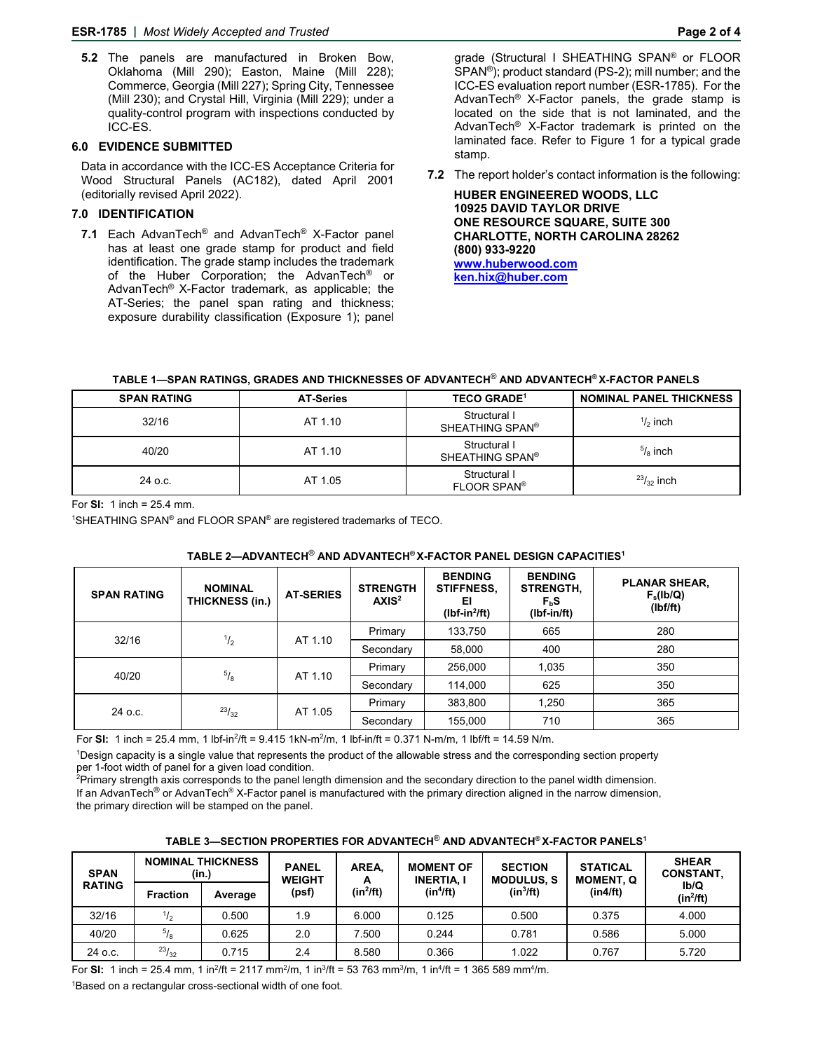**5.2** The panels are manufactured in Broken Bow, Oklahoma (Mill 290); Easton, Maine (Mill 228); Commerce, Georgia (Mill 227); Spring City, Tennessee (Mill 230); and Crystal Hill, Virginia (Mill 229); under a quality-control program with inspections conducted by ICC-ES.

## **6.0 EVIDENCE SUBMITTED**

Data in accordance with the ICC-ES Acceptance Criteria for Wood Structural Panels (AC182), dated April 2001 (editorially revised April 2022).

# **7.0 IDENTIFICATION**

**7.1** Each AdvanTech® and AdvanTech® X-Factor panel has at least one grade stamp for product and field identification. The grade stamp includes the trademark of the Huber Corporation; the AdvanTech<sup>®</sup> or AdvanTech® X-Factor trademark, as applicable; the AT-Series; the panel span rating and thickness; exposure durability classification (Exposure 1); panel

grade (Structural I SHEATHING SPAN® or FLOOR SPAN®); product standard (PS-2); mill number; and the ICC-ES evaluation report number (ESR-1785). For the AdvanTech® X-Factor panels, the grade stamp is located on the side that is not laminated, and the AdvanTech® X-Factor trademark is printed on the laminated face. Refer to Figure 1 for a typical grade stamp.

**7.2** The report holder's contact information is the following:

 **HUBER ENGINEERED WOODS, LLC 10925 DAVID TAYLOR DRIVE ONE RESOURCE SQUARE, SUITE 300 CHARLOTTE, NORTH CAROLINA 28262 (800) 933-9220 www.huberwood.com ken.hix@huber.com** 

# **TABLE 1—SPAN RATINGS, GRADES AND THICKNESSES OF ADVANTECH**® **AND ADVANTECH® X-FACTOR PANELS**

| <b>SPAN RATING</b> | <b>AT-Series</b> | <b>TECO GRADE<sup>1</sup></b>               | <b>NOMINAL PANEL THICKNESS</b> |
|--------------------|------------------|---------------------------------------------|--------------------------------|
| 32/16              | AT 1.10          | Structural I<br>SHEATHING SPAN <sup>®</sup> | $\frac{1}{2}$ inch             |
| 40/20              | AT 1.10          | Structural I<br>SHEATHING SPAN®             | $\frac{5}{8}$ inch             |
| 24 o.c.            | AT 1.05          | Structural I<br>FLOOR SPAN®                 | $^{23}/_{32}$ inch             |

For **SI:** 1 inch = 25.4 mm.

<sup>1</sup>SHEATHING SPAN® and FLOOR SPAN® are registered trademarks of TECO.

| <b>SPAN RATING</b> | <b>NOMINAL</b><br>THICKNESS (in.) | <b>AT-SERIES</b> | <b>STRENGTH</b><br>AXIS <sup>2</sup> | <b>BENDING</b><br><b>STIFFNESS,</b><br>ΕΙ<br>$(lbf-in^2/ft)$ | <b>BENDING</b><br><b>STRENGTH,</b><br>$F_bS$<br>$(lbf-in/ft)$ | <b>PLANAR SHEAR,</b><br>$F_s$ (lb/Q)<br>(Ibf/ft) |
|--------------------|-----------------------------------|------------------|--------------------------------------|--------------------------------------------------------------|---------------------------------------------------------------|--------------------------------------------------|
| 32/16              | $^{1/2}$                          | AT 1.10          | Primary                              | 133,750                                                      | 665                                                           | 280                                              |
|                    |                                   |                  | Secondary                            | 58,000                                                       | 400                                                           | 280                                              |
| 40/20              | $^{5}/_8$                         | AT 1.10          | Primary                              | 256,000                                                      | 1,035                                                         | 350                                              |
|                    |                                   |                  | Secondary                            | 114,000                                                      | 625                                                           | 350                                              |
| 24 o.c.            | 23/32                             | AT 1.05          | Primary                              | 383,800                                                      | 1,250                                                         | 365                                              |
|                    |                                   |                  | Secondary                            | 155,000                                                      | 710                                                           | 365                                              |

### **TABLE 2—ADVANTECH**® **AND ADVANTECH® X-FACTOR PANEL DESIGN CAPACITIES1**

For **SI:** 1 inch = 25.4 mm, 1 lbf-in<sup>2</sup>/ft = 9.415 1kN-m<sup>2</sup>/m, 1 lbf-in/ft = 0.371 N-m/m, 1 lbf/ft = 14.59 N/m.

1 Design capacity is a single value that represents the product of the allowable stress and the corresponding section property

per 1-foot width of panel for a given load condition.<br><sup>2</sup>Primary strength axis corresponds to the panel length dimension and the secondary direction to the panel width dimension.

If an AdvanTech<sup>®</sup> or AdvanTech® X-Factor panel is manufactured with the primary direction aligned in the narrow dimension, the primary direction will be stamped on the panel.

| TABLE 3-SECTION PROPERTIES FOR ADVANTECH® AND ADVANTECH® X-FACTOR PANELS1 |  |
|---------------------------------------------------------------------------|--|
|---------------------------------------------------------------------------|--|

| <b>SPAN</b>   | <b>NOMINAL THICKNESS</b><br>(in.) |         | AREA.<br><b>PANEL</b><br><b>WEIGHT</b> |            | <b>MOMENT OF</b><br><b>INERTIA, I</b> | <b>SECTION</b><br><b>MODULUS, S</b> | <b>STATICAL</b><br><b>MOMENT, Q</b> | <b>SHEAR</b><br><b>CONSTANT,</b> |
|---------------|-----------------------------------|---------|----------------------------------------|------------|---------------------------------------|-------------------------------------|-------------------------------------|----------------------------------|
| <b>RATING</b> | <b>Fraction</b>                   | Average | (psf)                                  | $(in^2ft)$ | (in <sup>4</sup> /ft)                 | $(in^3/ft)$                         | (in4/ft)                            | Ib/Q<br>$(in^2/ft)$              |
| 32/16         | $\frac{1}{2}$                     | 0.500   | 1.9                                    | 6.000      | 0.125                                 | 0.500                               | 0.375                               | 4.000                            |
| 40/20         | $^{5}/_8$                         | 0.625   | 2.0                                    | 7.500      | 0.244                                 | 0.781                               | 0.586                               | 5.000                            |
| 24 o.c.       | $^{23}/_{32}$                     | 0.715   | 2.4                                    | 8.580      | 0.366                                 | 1.022                               | 0.767                               | 5.720                            |

For **SI:** 1 inch = 25.4 mm, 1 in<sup>2</sup>/ft = 2117 mm<sup>2</sup>/m, 1 in<sup>3</sup>/ft = 53 763 mm<sup>3</sup>/m, 1 in<sup>4</sup>/ft = 1 365 589 mm<sup>4</sup>/m.

1 Based on a rectangular cross-sectional width of one foot.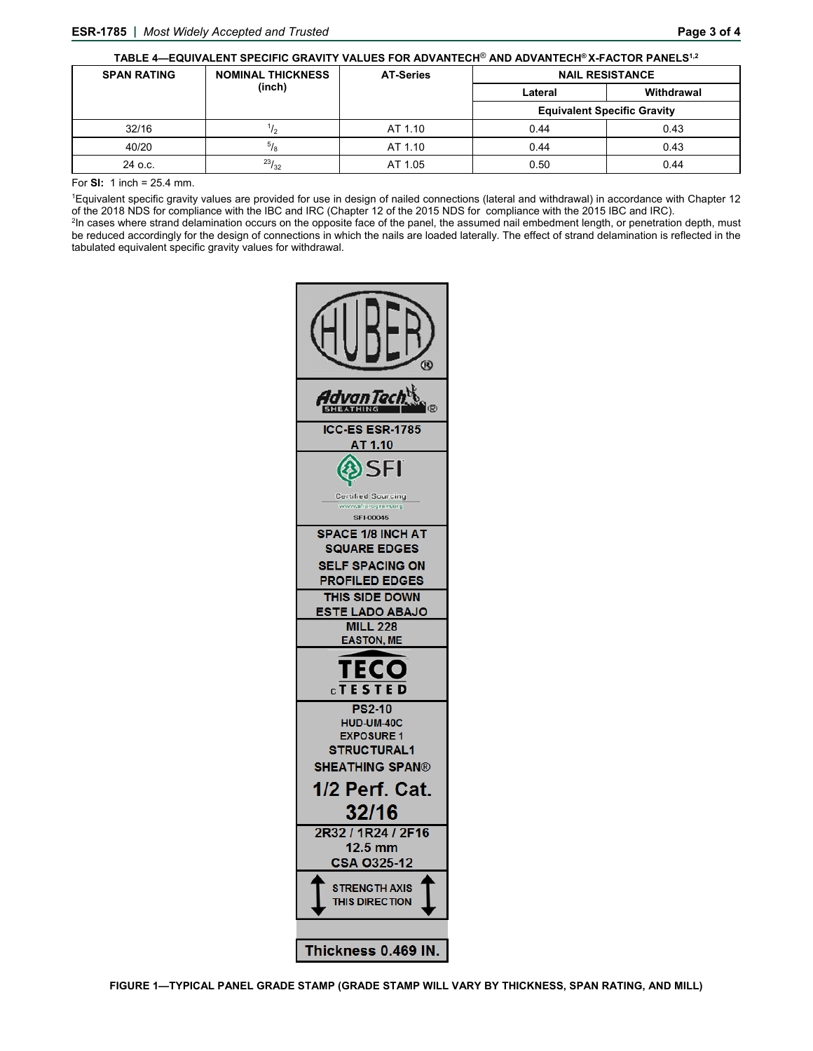| TABLE 4-EQUIVALENT SPECIFIC GRAVITY VALUES FOR ADVANTECH® AND ADVANTECH®X-FACTOR PANELS <sup>1,2</sup> |                          |                  |                                    |            |  |  |
|--------------------------------------------------------------------------------------------------------|--------------------------|------------------|------------------------------------|------------|--|--|
| <b>SPAN RATING</b>                                                                                     | <b>NOMINAL THICKNESS</b> | <b>AT-Series</b> | <b>NAIL RESISTANCE</b>             |            |  |  |
|                                                                                                        | (inch)                   |                  | Lateral                            | Withdrawal |  |  |
|                                                                                                        |                          |                  | <b>Equivalent Specific Gravity</b> |            |  |  |
| 32/16                                                                                                  | '/2                      | AT 1.10          | 0.44                               | 0.43       |  |  |
| 40/20                                                                                                  | $^{5}/_{8}$              | AT 1.10          | 0.44                               | 0.43       |  |  |
| $24$ o.c.                                                                                              | $^{23}/_{32}$            | AT 1.05          | 0.50                               | 0.44       |  |  |

For **SI:** 1 inch = 25.4 mm.

1 Equivalent specific gravity values are provided for use in design of nailed connections (lateral and withdrawal) in accordance with Chapter 12 of the 2018 NDS for compliance with the IBC and IRC (Chapter 12 of the 2015 NDS for compliance with the 2015 IBC and IRC).<br><sup>2</sup>In cases where strand delamination occurs on the opposite face of the panel, the assumed nail e

be reduced accordingly for the design of connections in which the nails are loaded laterally. The effect of strand delamination is reflected in the tabulated equivalent specific gravity values for withdrawal.